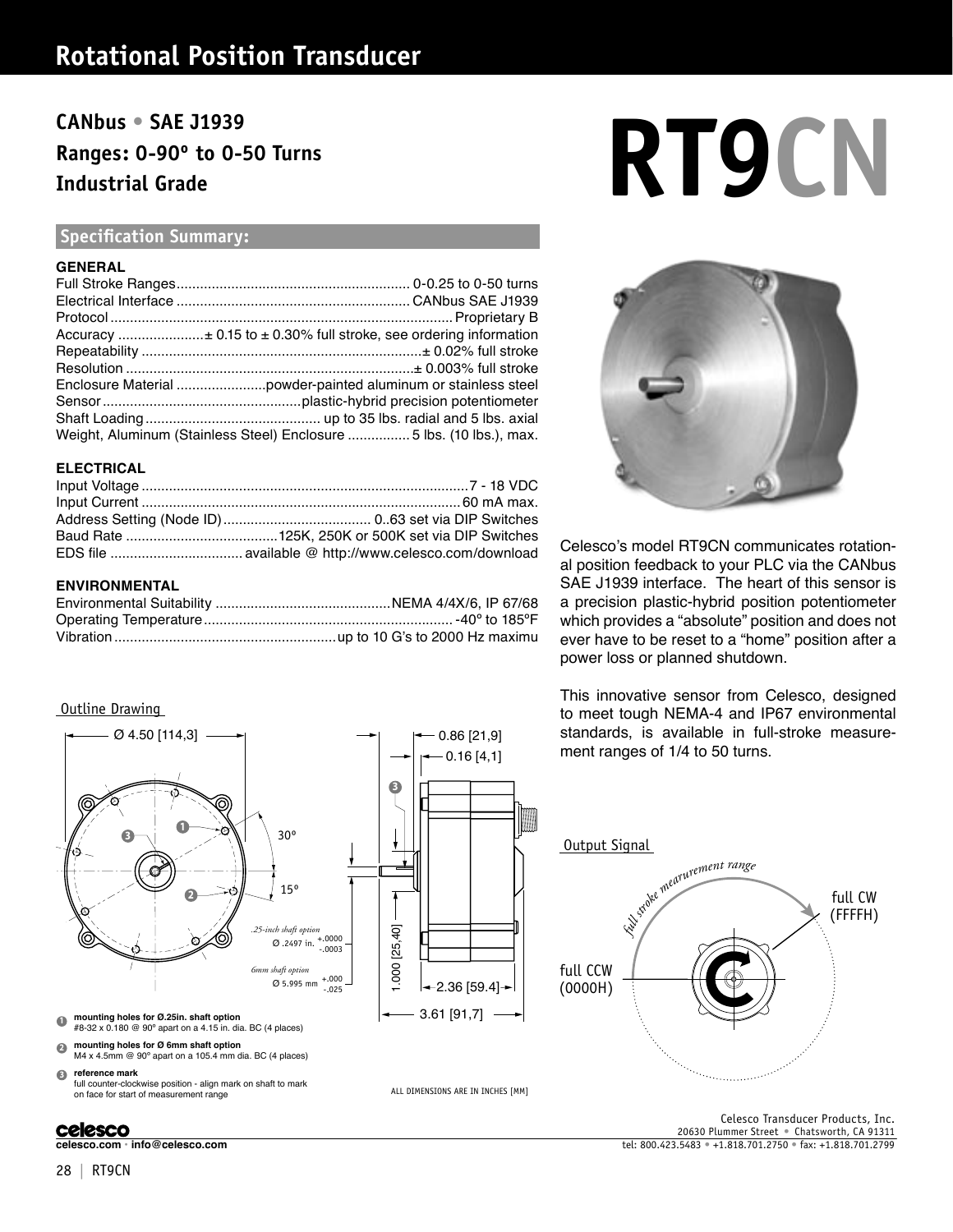### **Rotational Position Transducer**

## **Ranges: 0-90º to 0-50 Turns Industrial Grade**

### **Specification Summary:**

### **GENERAL**

| Weight, Aluminum (Stainless Steel) Enclosure 5 lbs. (10 lbs.), max. |
|---------------------------------------------------------------------|

### **ELECTRICAL**

### **ENVIRONMENTAL**

### Outline Drawing



### **celesco**

# CANbus • SAE J1939<br>Ranges: 0-90° to 0-50 Turns<br>Industrial Grade



Celesco's model RT9CN communicates rotational position feedback to your PLC via the CANbus SAE J1939 interface. The heart of this sensor is a precision plastic-hybrid position potentiometer which provides a "absolute" position and does not ever have to be reset to a "home" position after a power loss or planned shutdown.

This innovative sensor from Celesco, designed to meet tough NEMA-4 and IP67 environmental standards, is available in full-stroke measurement ranges of 1/4 to 50 turns.



**celesco.com • info@celesco.com** tel: 800.423.5483 • +1.818.701.2750 • fax: +1.818.701.2799 Celesco Transducer Products, Inc. 20630 Plummer Street • Chatsworth, CA 91311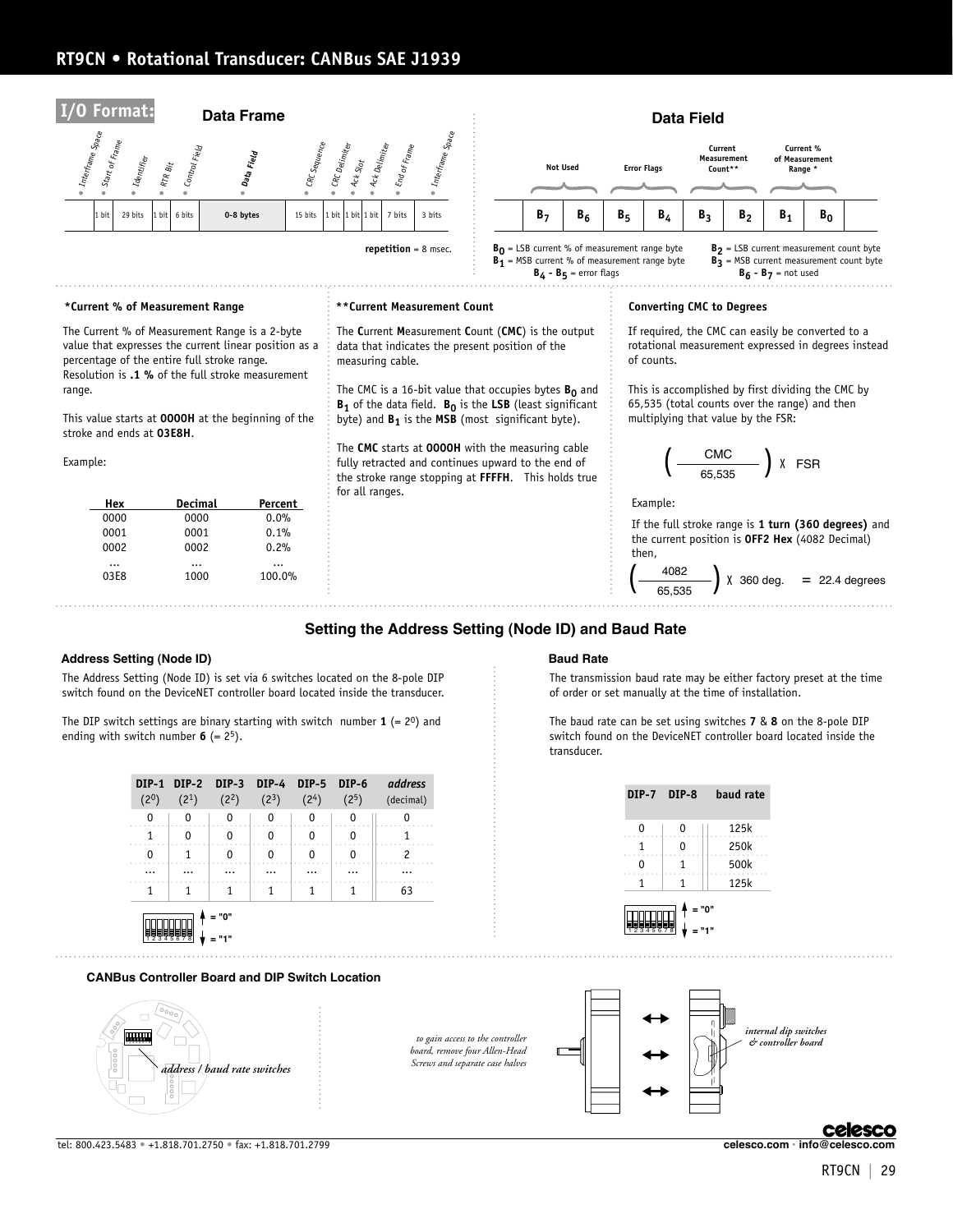### **RT9CN • Rotational Transducer: CANBus SAE J1939**



### **Setting the Address Setting (Node ID) and Baud Rate**

#### **Address Setting (Node ID) Baud Rate**

The Address Setting (Node ID) is set via 6 switches located on the 8-pole DIP switch found on the DeviceNET controller board located inside the transducer.

The DIP switch settings are binary starting with switch number  $\mathbf{1}$  (=  $2^0$ ) and ending with switch number  $6 (= 2<sup>5</sup>)$ .

| $(2^0)$ | (2 <sup>1</sup> ) | $(2^2)$            | DIP-1 DIP-2 DIP-3 DIP-4 DIP-5 DIP-6<br>$(2^3)$ | (2 <sup>4</sup> ) | (2 <sup>5</sup> ) | address<br>(decimal) |
|---------|-------------------|--------------------|------------------------------------------------|-------------------|-------------------|----------------------|
| 0       | O                 | 0                  | 0                                              | 0                 | 0                 |                      |
|         | n                 | ŋ                  | ŋ                                              | 0                 |                   |                      |
| n       |                   | n                  | n                                              | ŋ                 |                   |                      |
|         |                   |                    |                                                |                   |                   |                      |
|         |                   |                    |                                                |                   |                   | 63                   |
|         |                   | $= "0"$<br>$= 111$ |                                                |                   |                   |                      |

### **CANBus Controller Board and DIP Switch Location**



tel: 800.423.5483 • +1.818.701.2750 • fax: +1.818.701.2799 **celesco.com • info@celesco.com**

The transmission baud rate may be either factory preset at the time of order or set manually at the time of installation.

The baud rate can be set using switches **7** & **8** on the 8-pole DIP switch found on the DeviceNET controller board located inside the transducer.

|   | DIP-7 DIP-8 | baud rate |
|---|-------------|-----------|
| 0 | 0           | 125k      |
|   | 0           | 250k      |
| 0 |             | 500k      |
| 1 | 1           | 125k      |

1 2 3 4 5 6 7 8 **= "1"**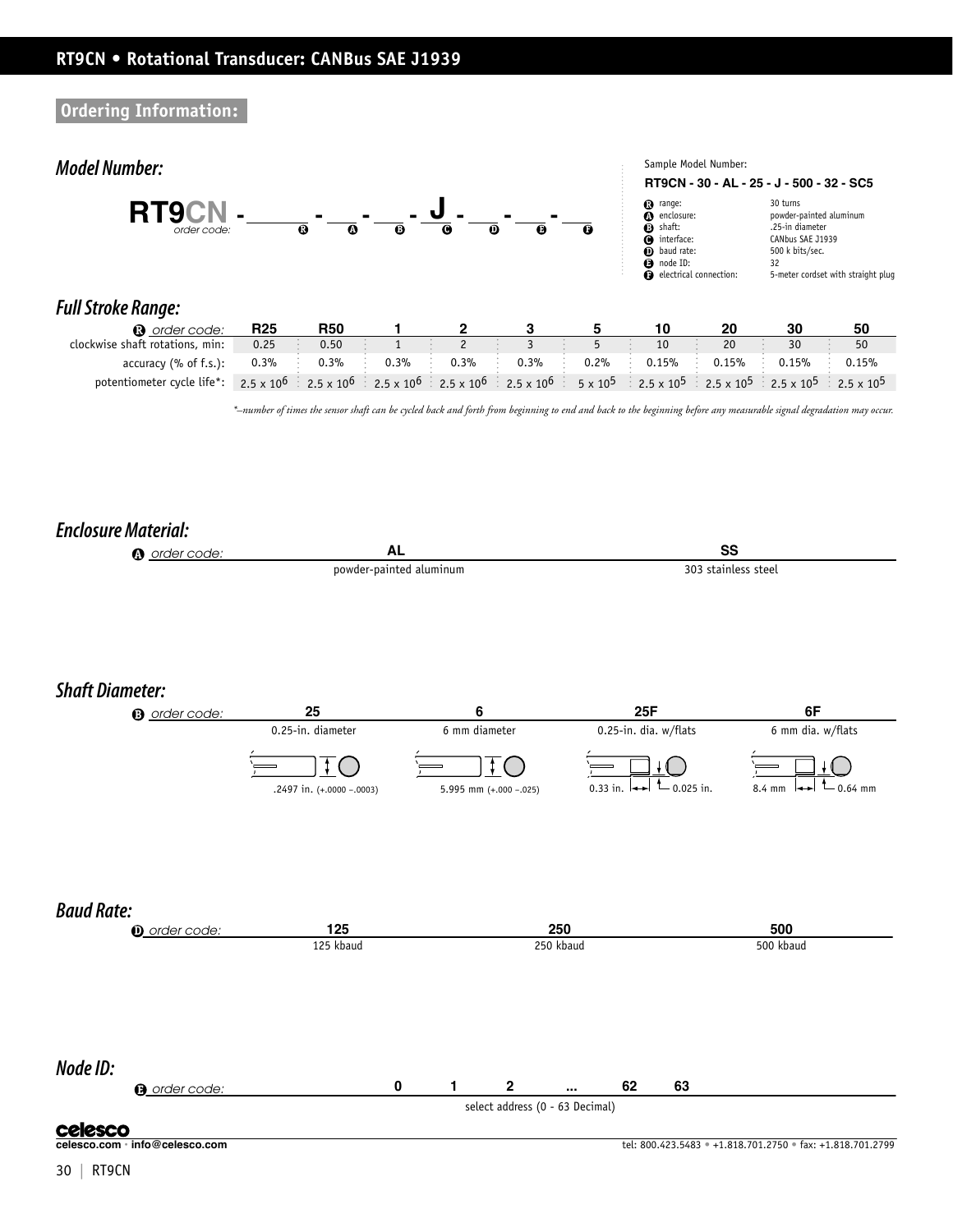### **Ordering Information:**



**Node ID:**

**a** order code: **0 1 2 ... 62 63** select address (0 - 63 Decimal)

**celesco**